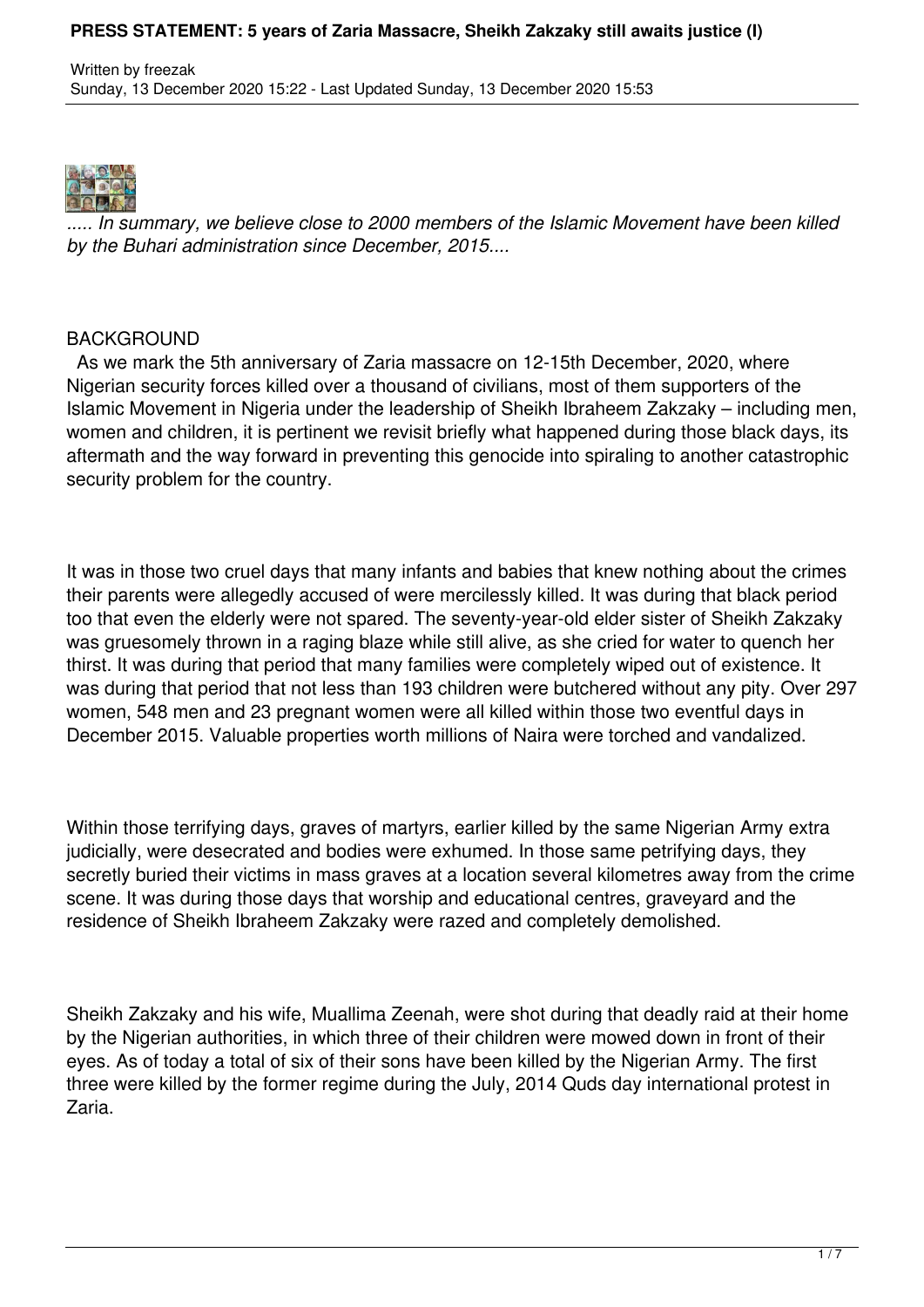

*..... In summary, we believe close to 2000 members of the Islamic Movement have been killed by the Buhari administration since December, 2015....*

### BACKGROUND

 As we mark the 5th anniversary of Zaria massacre on 12-15th December, 2020, where Nigerian security forces killed over a thousand of civilians, most of them supporters of the Islamic Movement in Nigeria under the leadership of Sheikh Ibraheem Zakzaky – including men, women and children, it is pertinent we revisit briefly what happened during those black days, its aftermath and the way forward in preventing this genocide into spiraling to another catastrophic security problem for the country.

It was in those two cruel days that many infants and babies that knew nothing about the crimes their parents were allegedly accused of were mercilessly killed. It was during that black period too that even the elderly were not spared. The seventy-year-old elder sister of Sheikh Zakzaky was gruesomely thrown in a raging blaze while still alive, as she cried for water to quench her thirst. It was during that period that many families were completely wiped out of existence. It was during that period that not less than 193 children were butchered without any pity. Over 297 women, 548 men and 23 pregnant women were all killed within those two eventful days in December 2015. Valuable properties worth millions of Naira were torched and vandalized.

Within those terrifying days, graves of martyrs, earlier killed by the same Nigerian Army extra judicially, were desecrated and bodies were exhumed. In those same petrifying days, they secretly buried their victims in mass graves at a location several kilometres away from the crime scene. It was during those days that worship and educational centres, graveyard and the residence of Sheikh Ibraheem Zakzaky were razed and completely demolished.

Sheikh Zakzaky and his wife, Muallima Zeenah, were shot during that deadly raid at their home by the Nigerian authorities, in which three of their children were mowed down in front of their eyes. As of today a total of six of their sons have been killed by the Nigerian Army. The first three were killed by the former regime during the July, 2014 Quds day international protest in Zaria.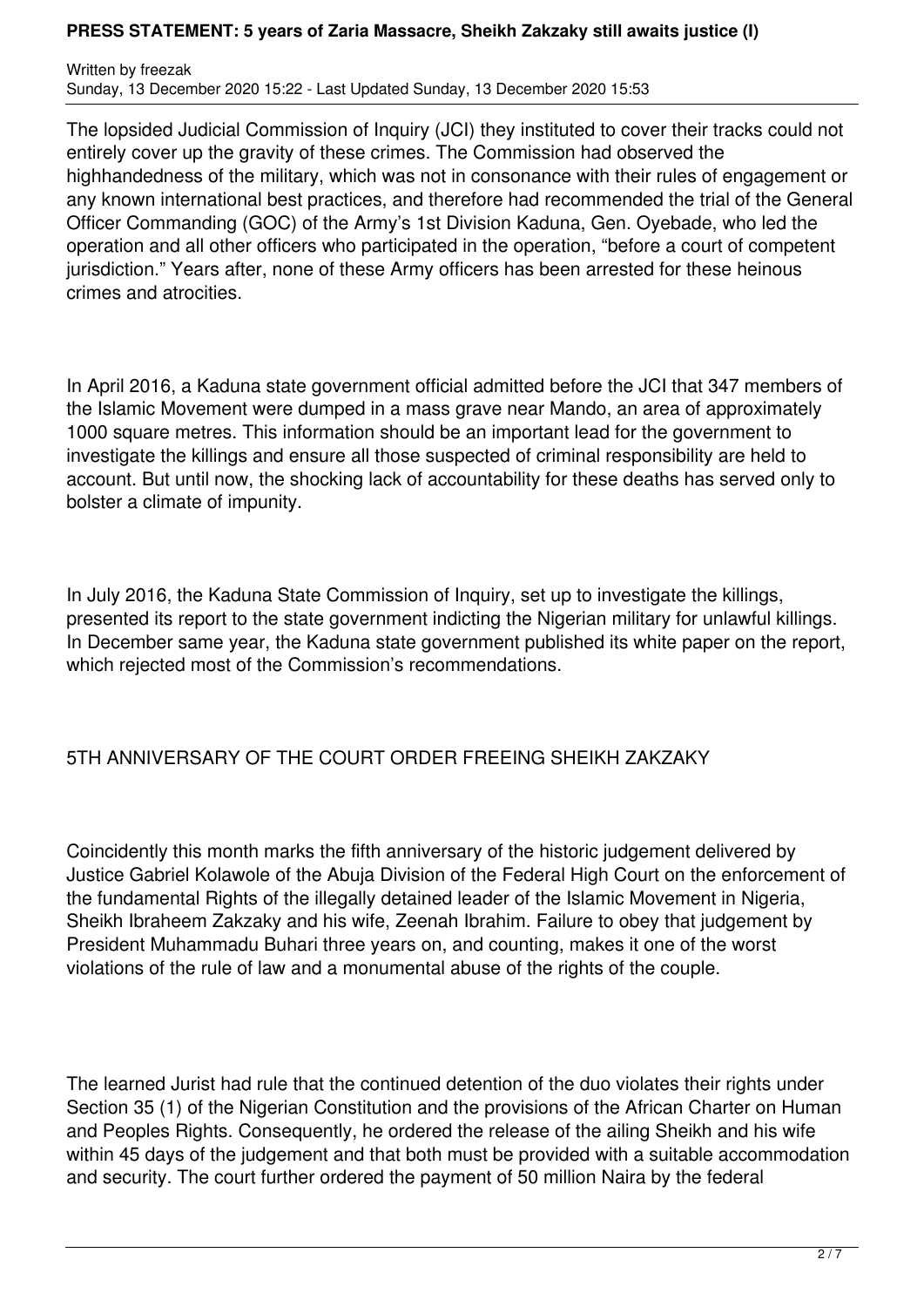Written by freezak Sunday, 13 December 2020 15:22 - Last Updated Sunday, 13 December 2020 15:53

The lopsided Judicial Commission of Inquiry (JCI) they instituted to cover their tracks could not entirely cover up the gravity of these crimes. The Commission had observed the highhandedness of the military, which was not in consonance with their rules of engagement or any known international best practices, and therefore had recommended the trial of the General Officer Commanding (GOC) of the Army's 1st Division Kaduna, Gen. Oyebade, who led the operation and all other officers who participated in the operation, "before a court of competent jurisdiction." Years after, none of these Army officers has been arrested for these heinous crimes and atrocities.

In April 2016, a Kaduna state government official admitted before the JCI that 347 members of the Islamic Movement were dumped in a mass grave near Mando, an area of approximately 1000 square metres. This information should be an important lead for the government to investigate the killings and ensure all those suspected of criminal responsibility are held to account. But until now, the shocking lack of accountability for these deaths has served only to bolster a climate of impunity.

In July 2016, the Kaduna State Commission of Inquiry, set up to investigate the killings, presented its report to the state government indicting the Nigerian military for unlawful killings. In December same year, the Kaduna state government published its white paper on the report, which rejected most of the Commission's recommendations.

## 5TH ANNIVERSARY OF THE COURT ORDER FREEING SHEIKH ZAKZAKY

Coincidently this month marks the fifth anniversary of the historic judgement delivered by Justice Gabriel Kolawole of the Abuja Division of the Federal High Court on the enforcement of the fundamental Rights of the illegally detained leader of the Islamic Movement in Nigeria, Sheikh Ibraheem Zakzaky and his wife, Zeenah Ibrahim. Failure to obey that judgement by President Muhammadu Buhari three years on, and counting, makes it one of the worst violations of the rule of law and a monumental abuse of the rights of the couple.

The learned Jurist had rule that the continued detention of the duo violates their rights under Section 35 (1) of the Nigerian Constitution and the provisions of the African Charter on Human and Peoples Rights. Consequently, he ordered the release of the ailing Sheikh and his wife within 45 days of the judgement and that both must be provided with a suitable accommodation and security. The court further ordered the payment of 50 million Naira by the federal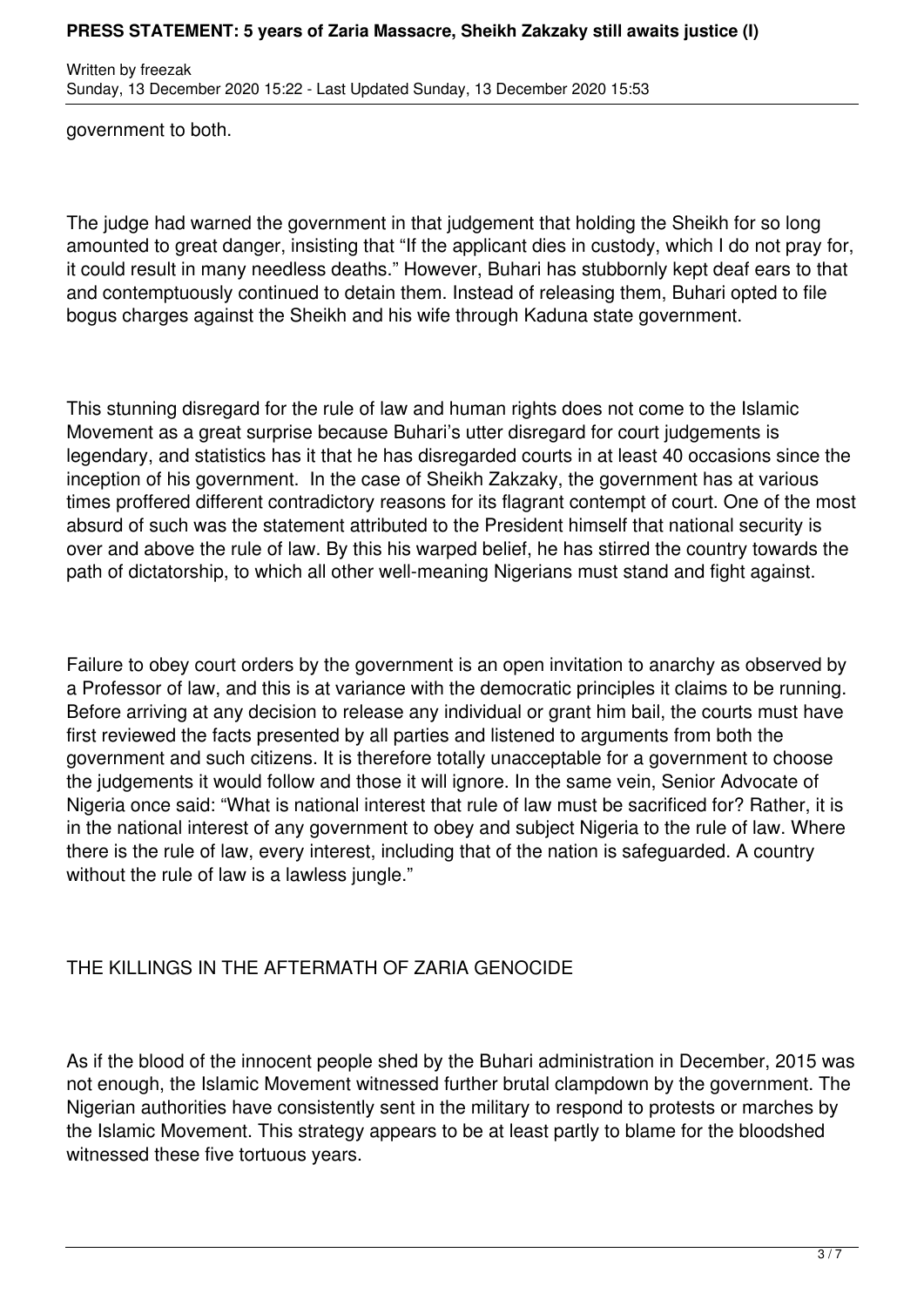Written by freezak Sunday, 13 December 2020 15:22 - Last Updated Sunday, 13 December 2020 15:53

government to both.

The judge had warned the government in that judgement that holding the Sheikh for so long amounted to great danger, insisting that "If the applicant dies in custody, which I do not pray for, it could result in many needless deaths." However, Buhari has stubbornly kept deaf ears to that and contemptuously continued to detain them. Instead of releasing them, Buhari opted to file bogus charges against the Sheikh and his wife through Kaduna state government.

This stunning disregard for the rule of law and human rights does not come to the Islamic Movement as a great surprise because Buhari's utter disregard for court judgements is legendary, and statistics has it that he has disregarded courts in at least 40 occasions since the inception of his government. In the case of Sheikh Zakzaky, the government has at various times proffered different contradictory reasons for its flagrant contempt of court. One of the most absurd of such was the statement attributed to the President himself that national security is over and above the rule of law. By this his warped belief, he has stirred the country towards the path of dictatorship, to which all other well-meaning Nigerians must stand and fight against.

Failure to obey court orders by the government is an open invitation to anarchy as observed by a Professor of law, and this is at variance with the democratic principles it claims to be running. Before arriving at any decision to release any individual or grant him bail, the courts must have first reviewed the facts presented by all parties and listened to arguments from both the government and such citizens. It is therefore totally unacceptable for a government to choose the judgements it would follow and those it will ignore. In the same vein, Senior Advocate of Nigeria once said: "What is national interest that rule of law must be sacrificed for? Rather, it is in the national interest of any government to obey and subject Nigeria to the rule of law. Where there is the rule of law, every interest, including that of the nation is safeguarded. A country without the rule of law is a lawless jungle."

# THE KILLINGS IN THE AFTERMATH OF ZARIA GENOCIDE

As if the blood of the innocent people shed by the Buhari administration in December, 2015 was not enough, the Islamic Movement witnessed further brutal clampdown by the government. The Nigerian authorities have consistently sent in the military to respond to protests or marches by the Islamic Movement. This strategy appears to be at least partly to blame for the bloodshed witnessed these five tortuous years.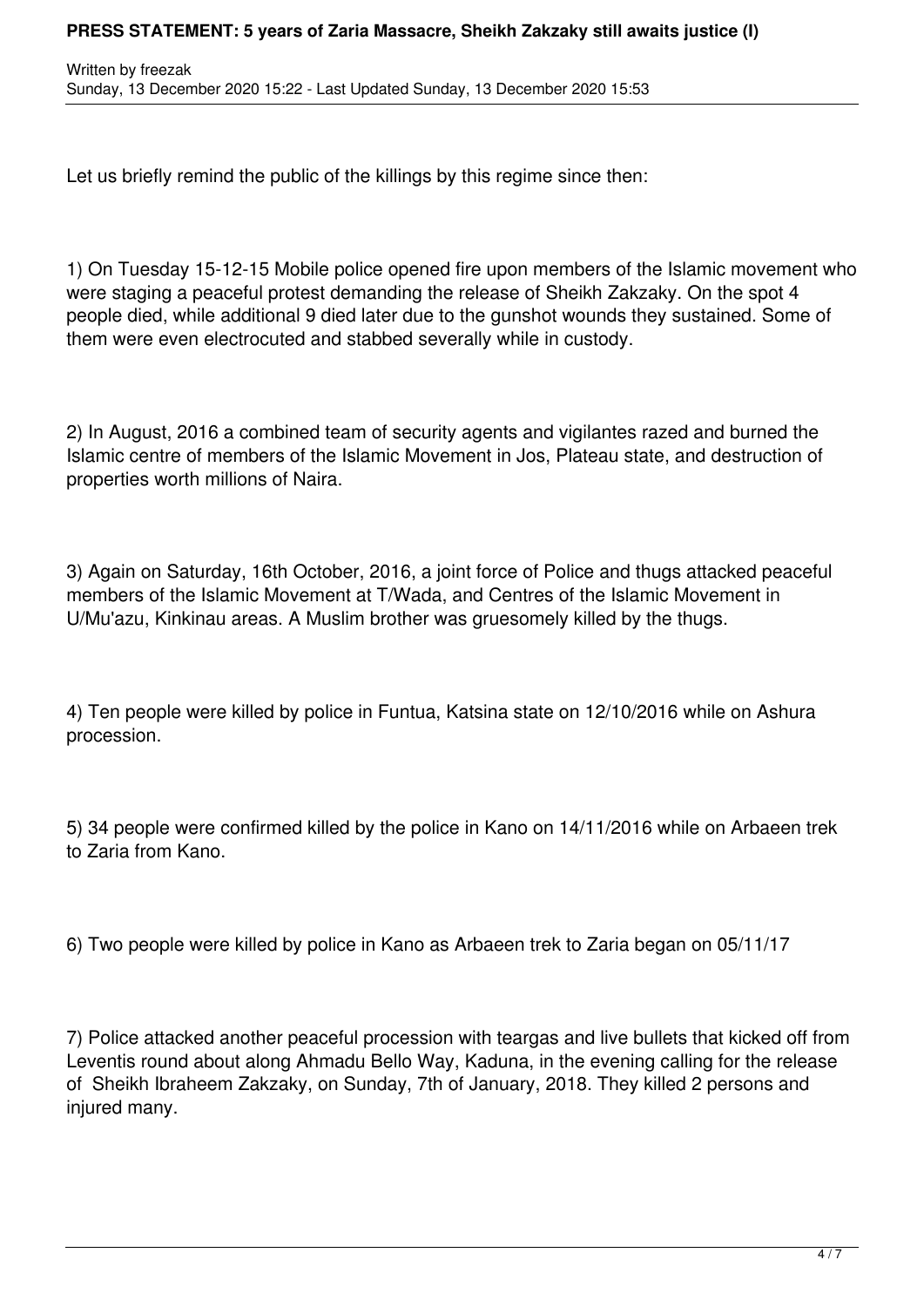Let us briefly remind the public of the killings by this regime since then:

1) On Tuesday 15-12-15 Mobile police opened fire upon members of the Islamic movement who were staging a peaceful protest demanding the release of Sheikh Zakzaky. On the spot 4 people died, while additional 9 died later due to the gunshot wounds they sustained. Some of them were even electrocuted and stabbed severally while in custody.

2) In August, 2016 a combined team of security agents and vigilantes razed and burned the Islamic centre of members of the Islamic Movement in Jos, Plateau state, and destruction of properties worth millions of Naira.

3) Again on Saturday, 16th October, 2016, a joint force of Police and thugs attacked peaceful members of the Islamic Movement at T/Wada, and Centres of the Islamic Movement in U/Mu'azu, Kinkinau areas. A Muslim brother was gruesomely killed by the thugs.

4) Ten people were killed by police in Funtua, Katsina state on 12/10/2016 while on Ashura procession.

5) 34 people were confirmed killed by the police in Kano on 14/11/2016 while on Arbaeen trek to Zaria from Kano.

6) Two people were killed by police in Kano as Arbaeen trek to Zaria began on 05/11/17

7) Police attacked another peaceful procession with teargas and live bullets that kicked off from Leventis round about along Ahmadu Bello Way, Kaduna, in the evening calling for the release of Sheikh Ibraheem Zakzaky, on Sunday, 7th of January, 2018. They killed 2 persons and injured many.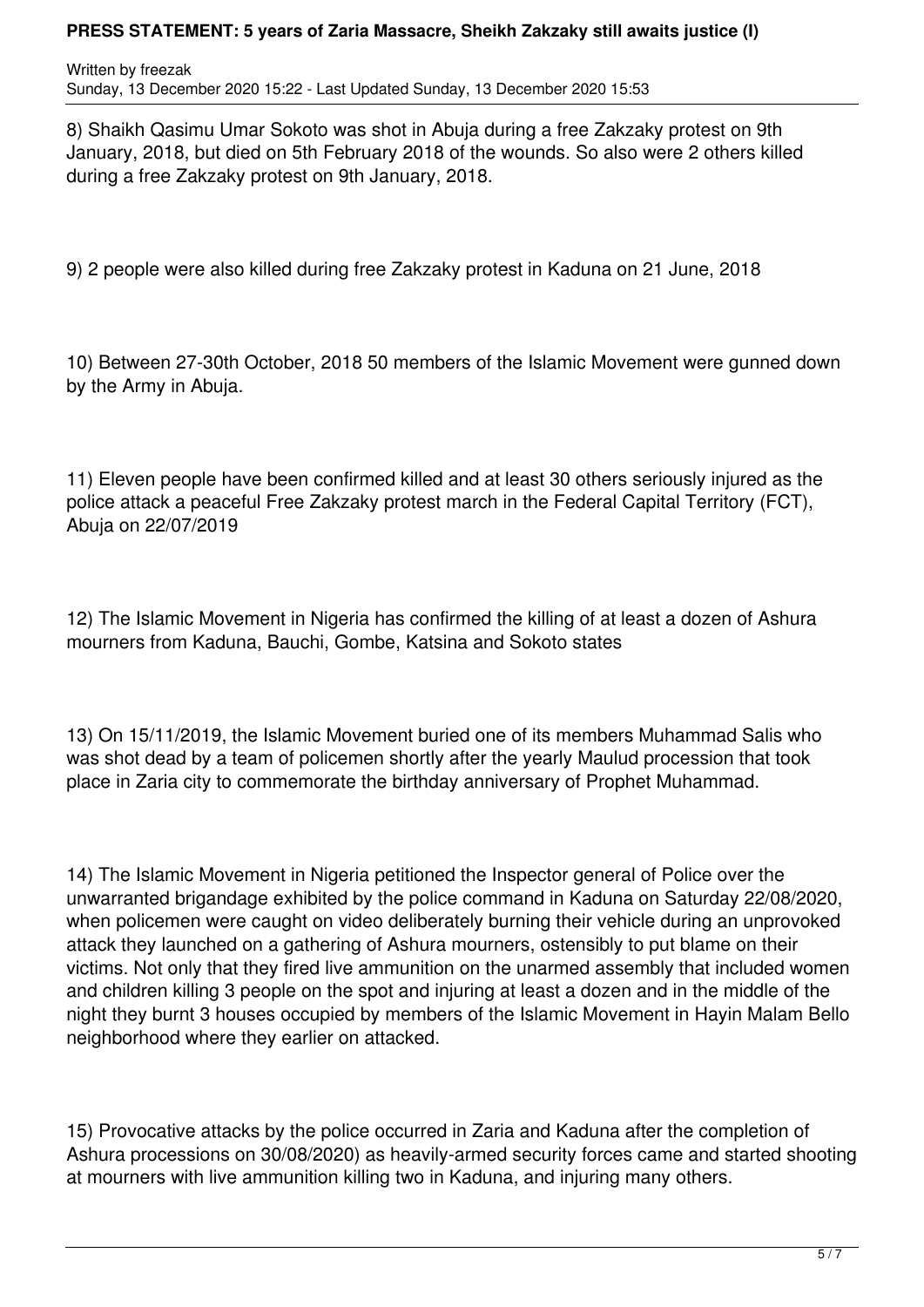Written by freezak Sunday, 13 December 2020 15:22 - Last Updated Sunday, 13 December 2020 15:53

8) Shaikh Qasimu Umar Sokoto was shot in Abuja during a free Zakzaky protest on 9th January, 2018, but died on 5th February 2018 of the wounds. So also were 2 others killed during a free Zakzaky protest on 9th January, 2018.

9) 2 people were also killed during free Zakzaky protest in Kaduna on 21 June, 2018

10) Between 27-30th October, 2018 50 members of the Islamic Movement were gunned down by the Army in Abuja.

11) Eleven people have been confirmed killed and at least 30 others seriously injured as the police attack a peaceful Free Zakzaky protest march in the Federal Capital Territory (FCT), Abuja on 22/07/2019

12) The Islamic Movement in Nigeria has confirmed the killing of at least a dozen of Ashura mourners from Kaduna, Bauchi, Gombe, Katsina and Sokoto states

13) On 15/11/2019, the Islamic Movement buried one of its members Muhammad Salis who was shot dead by a team of policemen shortly after the yearly Maulud procession that took place in Zaria city to commemorate the birthday anniversary of Prophet Muhammad.

14) The Islamic Movement in Nigeria petitioned the Inspector general of Police over the unwarranted brigandage exhibited by the police command in Kaduna on Saturday 22/08/2020, when policemen were caught on video deliberately burning their vehicle during an unprovoked attack they launched on a gathering of Ashura mourners, ostensibly to put blame on their victims. Not only that they fired live ammunition on the unarmed assembly that included women and children killing 3 people on the spot and injuring at least a dozen and in the middle of the night they burnt 3 houses occupied by members of the Islamic Movement in Hayin Malam Bello neighborhood where they earlier on attacked.

15) Provocative attacks by the police occurred in Zaria and Kaduna after the completion of Ashura processions on 30/08/2020) as heavily-armed security forces came and started shooting at mourners with live ammunition killing two in Kaduna, and injuring many others.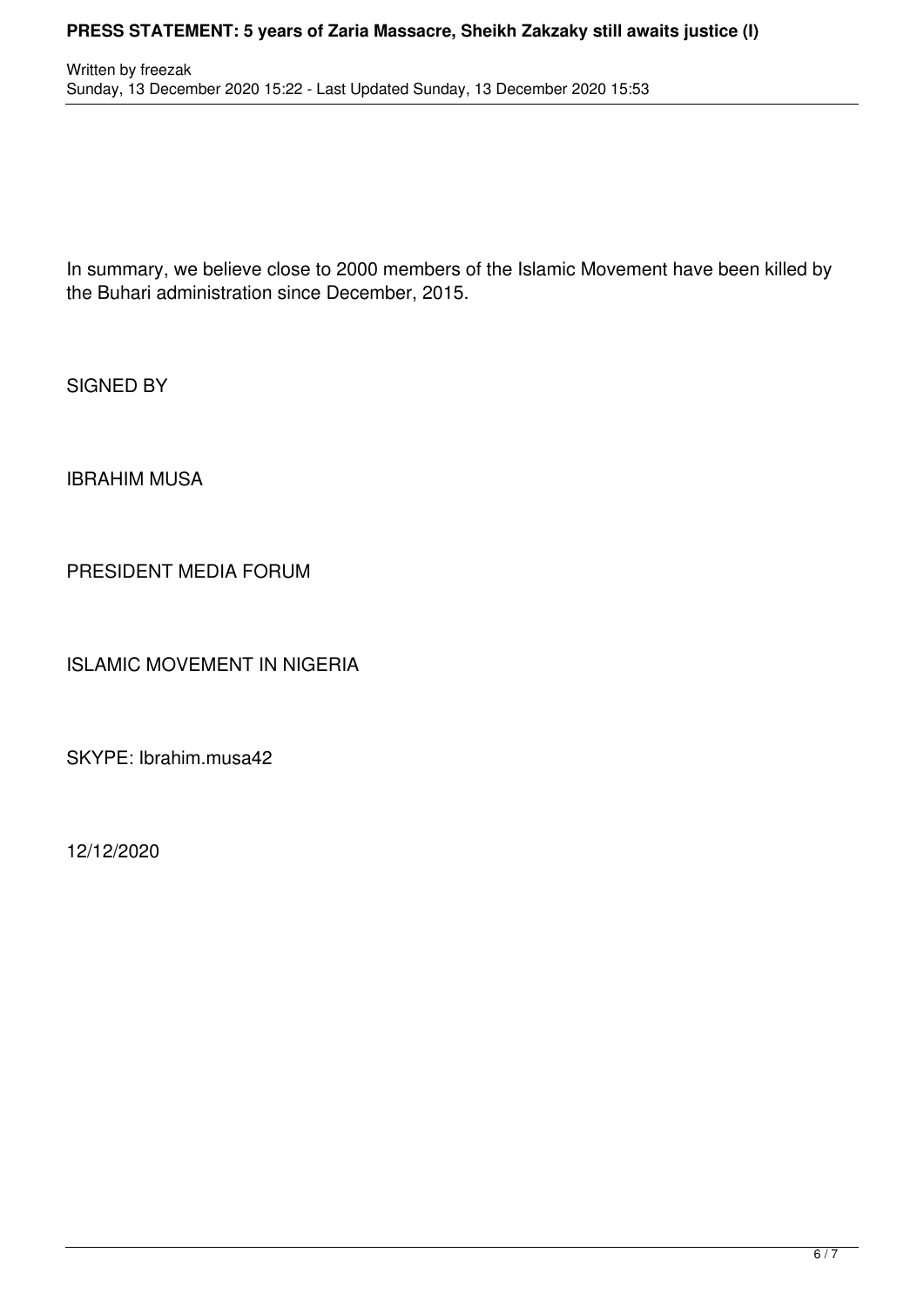In summary, we believe close to 2000 members of the Islamic Movement have been killed by the Buhari administration since December, 2015.

SIGNED BY

IBRAHIM MUSA

PRESIDENT MEDIA FORUM

ISLAMIC MOVEMENT IN NIGERIA

SKYPE: Ibrahim.musa42

12/12/2020